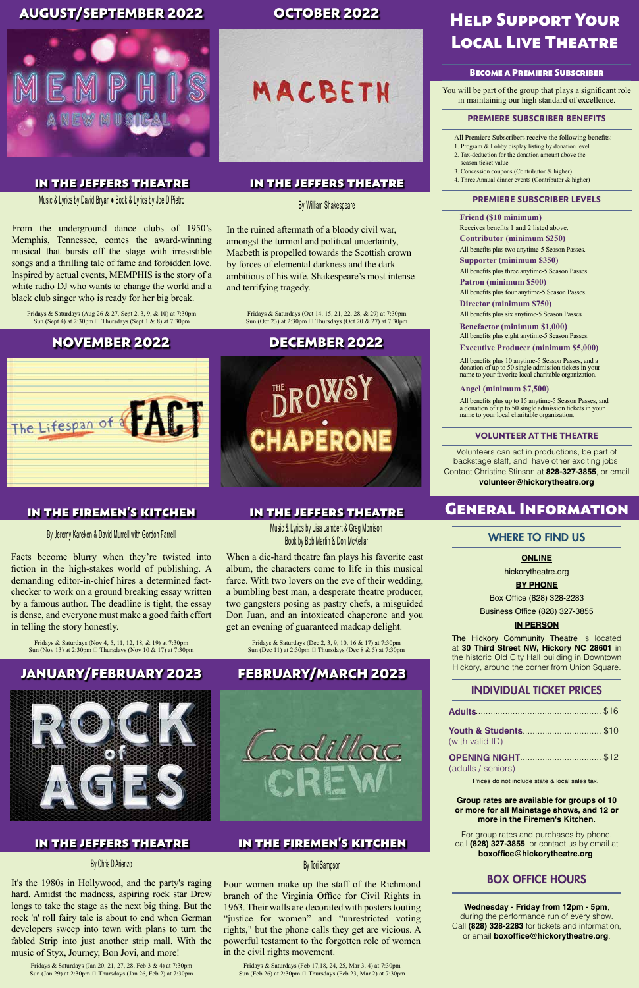#### **ONLINE**

hickorytheatre.org

#### **BY PHONE**

Box Office (828) 328-2283

Business Office (828) 327-3855

#### **IN PERSON**

The Hickory Community Theatre is located at **30 Third Street NW, Hickory NC 28601** in the historic Old City Hall building in Downtown Hickory, around the corner from Union Square.

#### **Group rates are available for groups of 10 or more for all Mainstage shows, and 12 or more in the Firemen's Kitchen.**

For group rates and purchases by phone, call **(828) 327-3855**, or contact us by email at **boxoffice@hickorytheatre.org**.

**Wednesday - Friday from 12pm - 5pm**, during the performance run of every show. Call **(828) 328-2283** for tickets and information, or email **boxoffice@hickorytheatre.org**.

## INDIVIDUAL TICKET PRICES

#### BOX OFFICE HOURS

#### WHERE TO FIND US

# General Information

Volunteers can act in productions, be part of backstage staff, and have other exciting jobs. Contact Christine Stinson at **828-327-3855**, or email **volunteer@hickorytheatre.org**

All Premiere Subscribers receive the following benefits:

- 1. Program & Lobby display listing by donation level 2. Tax-deduction for the donation amount above the
	- season ticket value
- 3. Concession coupons (Contributor & higher)
- 4. Three Annual dinner events (Contributor & higher)

#### **VOLUNTEER AT THE THEATRE**

#### Become a Premiere Subscriber

You will be part of the group that plays a significant role in maintaining our high standard of excellence.

Fridays & Saturdays (Aug 26 & 27, Sept 2, 3, 9, & 10) at 7:30pm Sun (Sept 4) at 2:30pm  $\Box$  Thursdays (Sept 1 & 8) at 7:30pm

#### **PREMIERE SUBSCRIBER BENEFITS**

#### **PREMIERE SUBSCRIBER LEVELS**

**Friend (\$10 minimum)**

**Contributor (minimum \$250)**

**Supporter (minimum \$350)**

**Patron (minimum \$500)**

**Executive Producer (minimum \$5,000)**

Fridays & Saturdays (Nov 4, 5, 11, 12, 18, & 19) at 7:30pm Sun (Nov 13) at 2:30pm □ Thursdays (Nov 10 & 17) at 7:30pm

#### **Angel (minimum \$7,500)**

Receives benefits 1 and 2 listed above.

**Director (minimum \$750)** All benefits plus six anytime-5 Season Passes.

All benefits plus two anytime-5 Season Passes.

**Benefactor (minimum \$1,000)** All benefits plus eight anytime-5 Season Passes.

All benefits plus three anytime-5 Season Passes.

All benefits plus four anytime-5 Season Passes.

Fridays & Saturdays (Oct 14, 15, 21, 22, 28, & 29) at 7:30pm Sun (Oct 23) at 2:30pm  $\Box$  Thursdays (Oct 20 & 27) at 7:30pm

> All benefits plus 10 anytime-5 Season Passes, and a donation of up to 50 single admission tickets in your name to your favorite local charitable organization.

Fridays & Saturdays (Dec 2, 3, 9, 10, 16 & 17) at 7:30pm Sun (Dec 11) at 2:30pm  $\Box$  Thursdays (Dec 8 & 5) at 7:30pm All benefits plus up to 15 anytime-5 Season Passes, and a donation of up to 50 single admission tickets in your name to your local charitable organization.

# Help Support Your Local Live Theatre

Music & Lyrics by David Bryan ● Book & Lyrics by Joe DiPietro

Fridays & Saturdays (Feb 17,18, 24, 25, Mar 3, 4) at 7:30pm Sun (Feb 26) at 2:30pm □ Thursdays (Feb 23, Mar 2) at 7:30pm

From the underground dance clubs of 1950's Memphis, Tennessee, comes the award-winning musical that bursts off the stage with irresistible songs and a thrilling tale of fame and forbidden love. Inspired by actual events, MEMPHIS is the story of a white radio DJ who wants to change the world and a black club singer who is ready for her big break.

#### in the jeffers theatre

Fridays & Saturdays (Jan 20, 21, 27, 28, Feb 3 & 4) at 7:30pm Sun (Jan 29) at 2:30pm □ Thursdays (Jan 26, Feb 2) at 7:30pm

## AUGUST/SEPTEMBER 2022



By Jeremy Kareken & David Murrell with Gordon Farrell

Facts become blurry when they're twisted into fiction in the high-stakes world of publishing. A demanding editor-in-chief hires a determined factchecker to work on a ground breaking essay written by a famous author. The deadline is tight, the essay is dense, and everyone must make a good faith effort in telling the story honestly.

## in the firemen's kitchen

## NOVEMBER 2022



#### By William Shakespeare

In the ruined aftermath of a bloody civil war, amongst the turmoil and political uncertainty, Macbeth is propelled towards the Scottish crown by forces of elemental darkness and the dark ambitious of his wife. Shakespeare's most intense and terrifying tragedy.

## in the jeffers theatre

## OCTOBER 2022



Music & Lyrics by Lisa Lambert & Greg Morrison Book by Bob Martin & Don McKellar

When a die-hard theatre fan plays his favorite cast album, the characters come to life in this musical farce. With two lovers on the eve of their wedding, a bumbling best man, a desperate theatre producer, two gangsters posing as pastry chefs, a misguided Don Juan, and an intoxicated chaperone and you get an evening of guaranteed madcap delight.

#### in the jeffers theatre

## DECEMBER 2022



## By Tori Sampson

Four women make up the staff of the Richmond branch of the Virginia Office for Civil Rights in 1963. Their walls are decorated with posters touting "justice for women" and "unrestricted voting rights," but the phone calls they get are vicious. A powerful testament to the forgotten role of women in the civil rights movement.

## in the firemen's kitchen

## FEBRUARY/MARCH 2023

## **Youth & Students** ................................. \$10 (with valid ID)

**OPENING NIGHT**  ................................. \$12 (adults / seniors)

Prices do not include state & local sales tax.

#### By Chris D'Arienzo

It's the 1980s in Hollywood, and the party's raging hard. Amidst the madness, aspiring rock star Drew longs to take the stage as the next big thing. But the rock 'n' roll fairy tale is about to end when German developers sweep into town with plans to turn the fabled Strip into just another strip mall. With the music of Styx, Journey, Bon Jovi, and more!

#### in the jeffers theatre

# JANUARY/FEBRUARY 2023